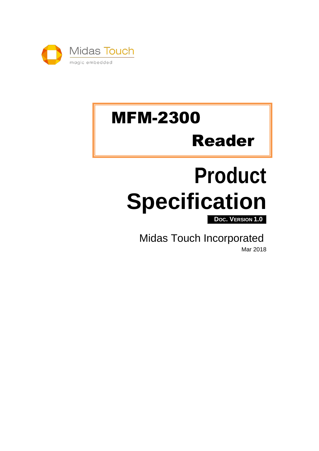

# MFM-2300 Reader

# **Product Specification**

**DOC. VERSION 1.0**

Midas Touch Incorporated

Mar 2018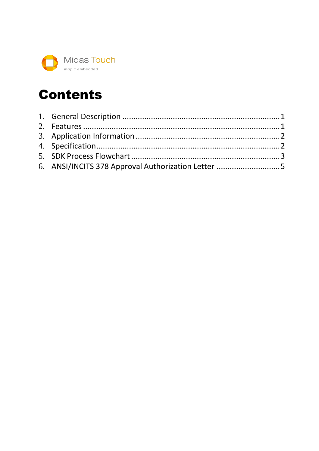

## Contents

| 6. ANSI/INCITS 378 Approval Authorization Letter 5 |  |
|----------------------------------------------------|--|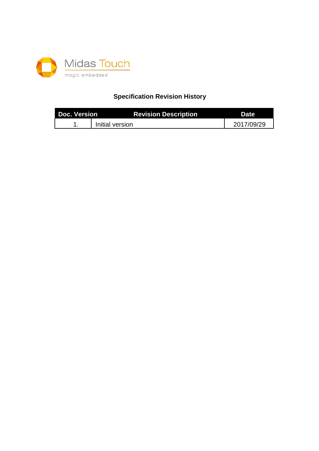

#### **Specification Revision History**

| <b>Doc. Version</b> | <b>Revision Description</b> | <b>Date</b> |
|---------------------|-----------------------------|-------------|
|                     | Initial version             | 2017/09/29  |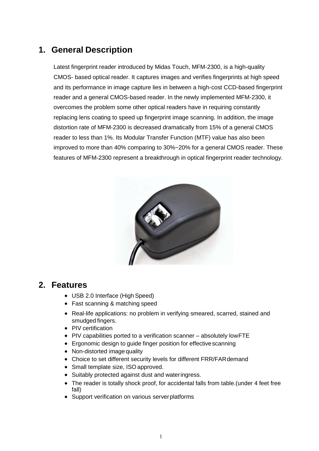#### <span id="page-4-0"></span>**1. General Description**

Latest fingerprint reader introduced by Midas Touch, MFM-2300, is a high-quality CMOS- based optical reader. It captures images and verifies fingerprints at high speed and its performance in image capture lies in between a high-cost CCD-based fingerprint reader and a general CMOS-based reader. In the newly implemented MFM-2300, it overcomes the problem some other optical readers have in requiring constantly replacing lens coating to speed up fingerprint image scanning. In addition, the image distortion rate of MFM-2300 is decreased dramatically from 15% of a general CMOS reader to less than 1%. Its Modular Transfer Function (MTF) value has also been improved to more than 40% comparing to 30%~20% for a general CMOS reader. These features of MFM-2300 represent a breakthrough in optical fingerprint reader technology.



#### <span id="page-4-1"></span>**2. Features**

- USB 2.0 Interface (High Speed)
- Fast scanning & matching speed
- Real-life applications: no problem in verifying smeared, scarred, stained and smudged fingers.
- PIV certification
- PIV capabilities ported to a verification scanner absolutely lowFTE
- Ergonomic design to guide finger position for effectivescanning
- Non-distorted image quality
- Choice to set different security levels for different FRR/FARdemand
- Small template size, ISO approved.
- Suitably protected against dust and wateringress.
- The reader is totally shock proof, for accidental falls from table.(under 4 feet free fall)
- Support verification on various serverplatforms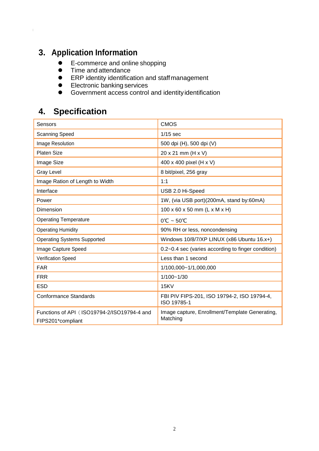## <span id="page-5-0"></span>**3. Application Information**

- **E-commerce and online shopping**
- **•** Time and attendance
- **•** ERP identity identification and staffmanagement
- **Electronic banking services**
- **Government access control and identity identification**

#### <span id="page-5-1"></span>**4. Specification**

| Sensors                                                          | <b>CMOS</b>                                                |  |
|------------------------------------------------------------------|------------------------------------------------------------|--|
| <b>Scanning Speed</b>                                            | $1/15$ sec                                                 |  |
| Image Resolution                                                 | 500 dpi (H), 500 dpi (V)                                   |  |
| Platen Size                                                      | 20 x 21 mm (H x V)                                         |  |
| Image Size                                                       | 400 x 400 pixel (H x V)                                    |  |
| <b>Gray Level</b>                                                | 8 bit/pixel, 256 gray                                      |  |
| Image Ration of Length to Width                                  | 1:1                                                        |  |
| Interface                                                        | USB 2.0 Hi-Speed                                           |  |
| Power                                                            | 1W, (via USB port)(200mA, stand by:60mA)                   |  |
| Dimension                                                        | $100 \times 60 \times 50$ mm (L x M x H)                   |  |
| <b>Operating Temperature</b>                                     | $0^{\circ}$ C ~ 50 $^{\circ}$ C                            |  |
| <b>Operating Humidity</b>                                        | 90% RH or less, noncondensing                              |  |
| <b>Operating Systems Supported</b>                               | Windows 10/8/7/XP LINUX (x86 Ubuntu 16.x+)                 |  |
| Image Capture Speed                                              | 0.2~0.4 sec (varies according to finger condition)         |  |
| <b>Verification Speed</b>                                        | Less than 1 second                                         |  |
| <b>FAR</b>                                                       | 1/100,000~1/1,000,000                                      |  |
| <b>FRR</b>                                                       | $1/100 - 1/30$                                             |  |
| <b>ESD</b>                                                       | 15KV                                                       |  |
| <b>Conformance Standards</b>                                     | FBI PIV FIPS-201, ISO 19794-2, ISO 19794-4,<br>ISO 19785-1 |  |
| Functions of API (ISO19794-2/ISO19794-4 and<br>FIPS201*compliant | Image capture, Enrollment/Template Generating,<br>Matching |  |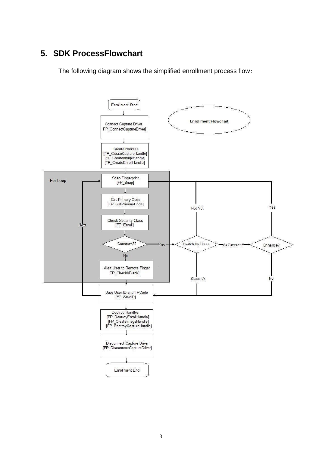### <span id="page-6-0"></span>**5. SDK ProcessFlowchart**

The following diagram shows the simplified enrollment process flow:

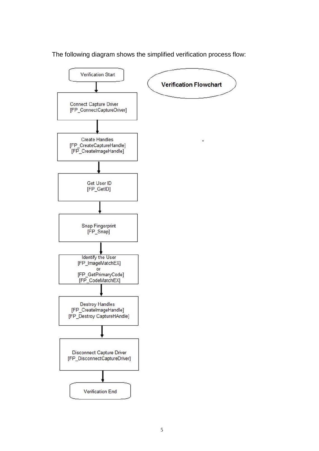The following diagram shows the simplified verification process flow: